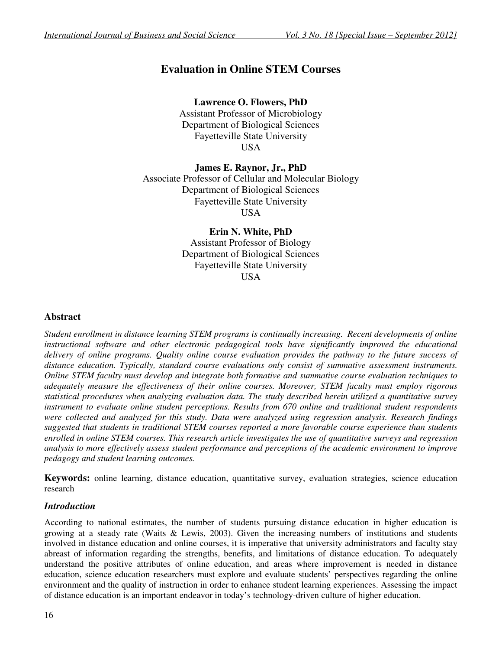# **Evaluation in Online STEM Courses**

# **Lawrence O. Flowers, PhD**

Assistant Professor of Microbiology Department of Biological Sciences Fayetteville State University USA

# **James E. Raynor, Jr., PhD**

Associate Professor of Cellular and Molecular Biology Department of Biological Sciences Fayetteville State University USA

> **Erin N. White, PhD**  Assistant Professor of Biology Department of Biological Sciences Fayetteville State University **USA**

# **Abstract**

*Student enrollment in distance learning STEM programs is continually increasing. Recent developments of online instructional software and other electronic pedagogical tools have significantly improved the educational delivery of online programs. Quality online course evaluation provides the pathway to the future success of distance education. Typically, standard course evaluations only consist of summative assessment instruments. Online STEM faculty must develop and integrate both formative and summative course evaluation techniques to adequately measure the effectiveness of their online courses. Moreover, STEM faculty must employ rigorous statistical procedures when analyzing evaluation data. The study described herein utilized a quantitative survey instrument to evaluate online student perceptions. Results from 670 online and traditional student respondents were collected and analyzed for this study. Data were analyzed using regression analysis. Research findings suggested that students in traditional STEM courses reported a more favorable course experience than students enrolled in online STEM courses. This research article investigates the use of quantitative surveys and regression analysis to more effectively assess student performance and perceptions of the academic environment to improve pedagogy and student learning outcomes.* 

**Keywords:** online learning, distance education, quantitative survey, evaluation strategies, science education research

# *Introduction*

According to national estimates, the number of students pursuing distance education in higher education is growing at a steady rate (Waits & Lewis, 2003). Given the increasing numbers of institutions and students involved in distance education and online courses, it is imperative that university administrators and faculty stay abreast of information regarding the strengths, benefits, and limitations of distance education. To adequately understand the positive attributes of online education, and areas where improvement is needed in distance education, science education researchers must explore and evaluate students' perspectives regarding the online environment and the quality of instruction in order to enhance student learning experiences. Assessing the impact of distance education is an important endeavor in today's technology-driven culture of higher education.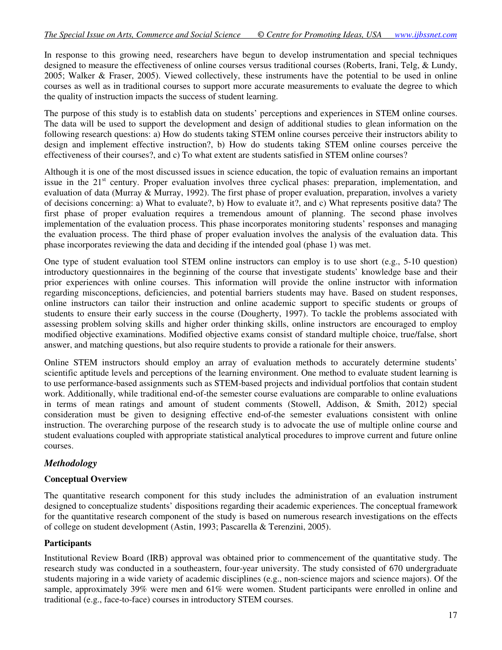In response to this growing need, researchers have begun to develop instrumentation and special techniques designed to measure the effectiveness of online courses versus traditional courses (Roberts, Irani, Telg, & Lundy, 2005; Walker & Fraser, 2005). Viewed collectively, these instruments have the potential to be used in online courses as well as in traditional courses to support more accurate measurements to evaluate the degree to which the quality of instruction impacts the success of student learning.

The purpose of this study is to establish data on students' perceptions and experiences in STEM online courses. The data will be used to support the development and design of additional studies to glean information on the following research questions: a) How do students taking STEM online courses perceive their instructors ability to design and implement effective instruction?, b) How do students taking STEM online courses perceive the effectiveness of their courses?, and c) To what extent are students satisfied in STEM online courses?

Although it is one of the most discussed issues in science education, the topic of evaluation remains an important issue in the 21<sup>st</sup> century. Proper evaluation involves three cyclical phases: preparation, implementation, and evaluation of data (Murray & Murray, 1992). The first phase of proper evaluation, preparation, involves a variety of decisions concerning: a) What to evaluate?, b) How to evaluate it?, and c) What represents positive data? The first phase of proper evaluation requires a tremendous amount of planning. The second phase involves implementation of the evaluation process. This phase incorporates monitoring students' responses and managing the evaluation process. The third phase of proper evaluation involves the analysis of the evaluation data. This phase incorporates reviewing the data and deciding if the intended goal (phase 1) was met.

One type of student evaluation tool STEM online instructors can employ is to use short (e.g., 5-10 question) introductory questionnaires in the beginning of the course that investigate students' knowledge base and their prior experiences with online courses. This information will provide the online instructor with information regarding misconceptions, deficiencies, and potential barriers students may have. Based on student responses, online instructors can tailor their instruction and online academic support to specific students or groups of students to ensure their early success in the course (Dougherty, 1997). To tackle the problems associated with assessing problem solving skills and higher order thinking skills, online instructors are encouraged to employ modified objective examinations. Modified objective exams consist of standard multiple choice, true/false, short answer, and matching questions, but also require students to provide a rationale for their answers.

Online STEM instructors should employ an array of evaluation methods to accurately determine students' scientific aptitude levels and perceptions of the learning environment. One method to evaluate student learning is to use performance-based assignments such as STEM-based projects and individual portfolios that contain student work. Additionally, while traditional end-of-the semester course evaluations are comparable to online evaluations in terms of mean ratings and amount of student comments (Stowell, Addison, & Smith, 2012) special consideration must be given to designing effective end-of-the semester evaluations consistent with online instruction. The overarching purpose of the research study is to advocate the use of multiple online course and student evaluations coupled with appropriate statistical analytical procedures to improve current and future online courses.

# *Methodology*

#### **Conceptual Overview**

The quantitative research component for this study includes the administration of an evaluation instrument designed to conceptualize students' dispositions regarding their academic experiences. The conceptual framework for the quantitative research component of the study is based on numerous research investigations on the effects of college on student development (Astin, 1993; Pascarella & Terenzini, 2005).

#### **Participants**

Institutional Review Board (IRB) approval was obtained prior to commencement of the quantitative study. The research study was conducted in a southeastern, four-year university. The study consisted of 670 undergraduate students majoring in a wide variety of academic disciplines (e.g., non-science majors and science majors). Of the sample, approximately 39% were men and 61% were women. Student participants were enrolled in online and traditional (e.g., face-to-face) courses in introductory STEM courses.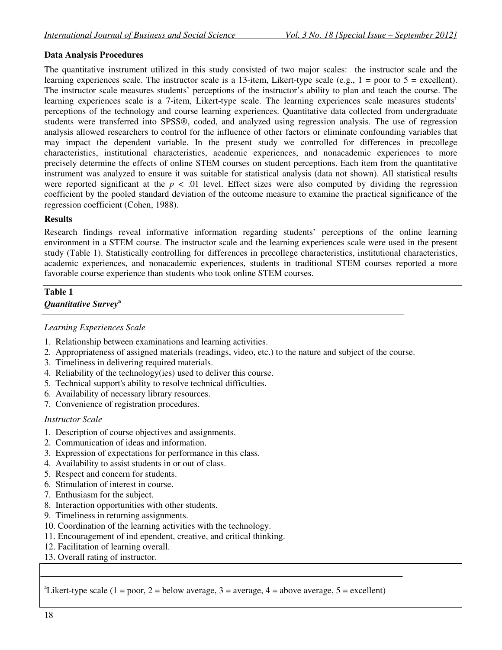# **Data Analysis Procedures**

The quantitative instrument utilized in this study consisted of two major scales: the instructor scale and the learning experiences scale. The instructor scale is a 13-item, Likert-type scale (e.g.,  $1 =$  poor to  $5 =$  excellent). The instructor scale measures students' perceptions of the instructor's ability to plan and teach the course. The learning experiences scale is a 7-item, Likert-type scale. The learning experiences scale measures students' perceptions of the technology and course learning experiences. Quantitative data collected from undergraduate students were transferred into SPSS®, coded, and analyzed using regression analysis. The use of regression analysis allowed researchers to control for the influence of other factors or eliminate confounding variables that may impact the dependent variable. In the present study we controlled for differences in precollege characteristics, institutional characteristics, academic experiences, and nonacademic experiences to more precisely determine the effects of online STEM courses on student perceptions. Each item from the quantitative instrument was analyzed to ensure it was suitable for statistical analysis (data not shown). All statistical results were reported significant at the  $p < .01$  level. Effect sizes were also computed by dividing the regression coefficient by the pooled standard deviation of the outcome measure to examine the practical significance of the regression coefficient (Cohen, 1988).

#### **Results**

Research findings reveal informative information regarding students' perceptions of the online learning environment in a STEM course. The instructor scale and the learning experiences scale were used in the present study (Table 1). Statistically controlling for differences in precollege characteristics, institutional characteristics, academic experiences, and nonacademic experiences, students in traditional STEM courses reported a more favorable course experience than students who took online STEM courses.

# **Table 1**

# *Quantitative Survey***<sup>a</sup>**

#### *Learning Experiences Scale*

- 1. Relationship between examinations and learning activities.
- 2. Appropriateness of assigned materials (readings, video, etc.) to the nature and subject of the course.
- 3. Timeliness in delivering required materials.
- 4. Reliability of the technology(ies) used to deliver this course.
- 5. Technical support's ability to resolve technical difficulties.
- 6. Availability of necessary library resources.
- 7. Convenience of registration procedures.

# *Instructor Scale*

- 1. Description of course objectives and assignments.
- 2. Communication of ideas and information.
- 3. Expression of expectations for performance in this class.
- 4. Availability to assist students in or out of class.
- 5. Respect and concern for students.
- 6. Stimulation of interest in course.
- 7. Enthusiasm for the subject.
- 8. Interaction opportunities with other students.
- 9. Timeliness in returning assignments.
- 10. Coordination of the learning activities with the technology.
- 11. Encouragement of ind ependent, creative, and critical thinking.
- 12. Facilitation of learning overall.
- 13. Overall rating of instructor.

<sup>a</sup>Likert-type scale (1 = poor, 2 = below average, 3 = average, 4 = above average, 5 = excellent)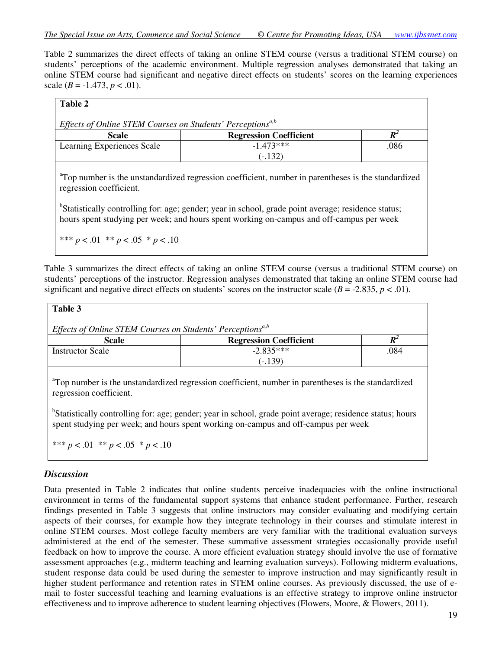Table 2 summarizes the direct effects of taking an online STEM course (versus a traditional STEM course) on students' perceptions of the academic environment. Multiple regression analyses demonstrated that taking an online STEM course had significant and negative direct effects on students' scores on the learning experiences scale  $(B = -1.473, p < .01)$ .

| Table 2                                                                |                               |      |  |
|------------------------------------------------------------------------|-------------------------------|------|--|
| Effects of Online STEM Courses on Students' Perceptions <sup>a,b</sup> |                               |      |  |
| <b>Scale</b>                                                           | <b>Regression Coefficient</b> |      |  |
| Learning Experiences Scale                                             | $-1.473***$                   | .086 |  |
|                                                                        | $(-.132)$                     |      |  |

<sup>a</sup>Top number is the unstandardized regression coefficient, number in parentheses is the standardized regression coefficient.

<sup>b</sup>Statistically controlling for: age; gender; year in school, grade point average; residence status; hours spent studying per week; and hours spent working on-campus and off-campus per week

\*\*\* *p* < .01 \*\* *p* < .05 \* *p* < .10

Table 3 summarizes the direct effects of taking an online STEM course (versus a traditional STEM course) on students' perceptions of the instructor. Regression analyses demonstrated that taking an online STEM course had significant and negative direct effects on students' scores on the instructor scale  $(B = -2.835, p < .01)$ .

| Table 3                                                                |                               |      |  |
|------------------------------------------------------------------------|-------------------------------|------|--|
| Effects of Online STEM Courses on Students' Perceptions <sup>a,b</sup> |                               |      |  |
| <b>Scale</b>                                                           | <b>Regression Coefficient</b> |      |  |
| <b>Instructor Scale</b>                                                | $-2.835***$                   | .084 |  |
|                                                                        | $(-.139)$                     |      |  |

<sup>a</sup>Top number is the unstandardized regression coefficient, number in parentheses is the standardized regression coefficient.

<sup>b</sup>Statistically controlling for: age; gender; year in school, grade point average; residence status; hours spent studying per week; and hours spent working on-campus and off-campus per week

\*\*\* *p* < .01 \*\* *p* < .05 \* *p* < .10

# *Discussion*

Data presented in Table 2 indicates that online students perceive inadequacies with the online instructional environment in terms of the fundamental support systems that enhance student performance. Further, research findings presented in Table 3 suggests that online instructors may consider evaluating and modifying certain aspects of their courses, for example how they integrate technology in their courses and stimulate interest in online STEM courses. Most college faculty members are very familiar with the traditional evaluation surveys administered at the end of the semester. These summative assessment strategies occasionally provide useful feedback on how to improve the course. A more efficient evaluation strategy should involve the use of formative assessment approaches (e.g., midterm teaching and learning evaluation surveys). Following midterm evaluations, student response data could be used during the semester to improve instruction and may significantly result in higher student performance and retention rates in STEM online courses. As previously discussed, the use of email to foster successful teaching and learning evaluations is an effective strategy to improve online instructor effectiveness and to improve adherence to student learning objectives (Flowers, Moore, & Flowers, 2011).